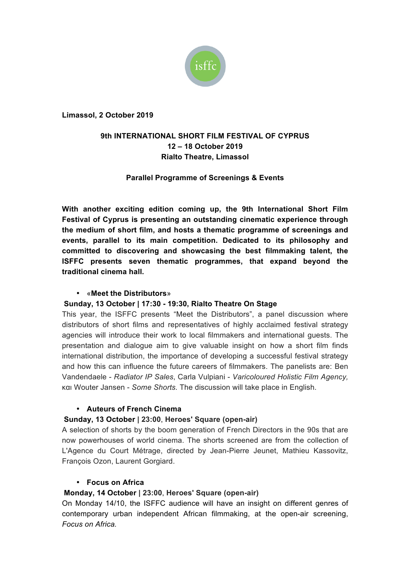

**Limassol, 2 October 2019**

# **9th INTERNATIONAL SHORT FILM FESTIVAL OF CYPRUS 12 – 18 October 2019 Rialto Theatre, Limassol**

# **Parallel Programme of Screenings & Events**

**With another exciting edition coming up, the 9th International Short Film Festival of Cyprus is presenting an outstanding cinematic experience through the medium of short film, and hosts a thematic programme of screenings and events, parallel to its main competition. Dedicated to its philosophy and committed to discovering and showcasing the best filmmaking talent, the ISFFC presents seven thematic programmes, that expand beyond the traditional cinema hall.**

## • «**Meet the Distributors**»

## **Sunday, 13 October | 17:30 - 19:30, Rialto Theatre On Stage**

This year, the ISFFC presents "Meet the Distributors", a panel discussion where distributors of short films and representatives of highly acclaimed festival strategy agencies will introduce their work to local filmmakers and international guests. The presentation and dialogue aim to give valuable insight on how a short film finds international distribution, the importance of developing a successful festival strategy and how this can influence the future careers of filmmakers. The panelists are: Ben Vandendaele - *Radiator IP Sales*, Carla Vulpiani - *Varicoloured Holistic Film Agency,* και Wouter Jansen - *Some Shorts.* The discussion will take place in English.

## • **Auteurs of French Cinema**

## **Sunday, 13 October | 23:00**, **Heroes' Square (open-air)**

A selection of shorts by the boom generation of French Directors in the 90s that are now powerhouses of world cinema. The shorts screened are from the collection of L'Agence du Court Métrage, directed by Jean-Pierre Jeunet, Mathieu Kassovitz, François Ozon, Laurent Gorgiard.

## • **Focus on Africa**

## **Monday, 14 October | 23:00**, **Heroes' Square (open-air)**

On Monday 14/10, the ISFFC audience will have an insight on different genres of contemporary urban independent African filmmaking, at the open-air screening, *Focus on Africa.*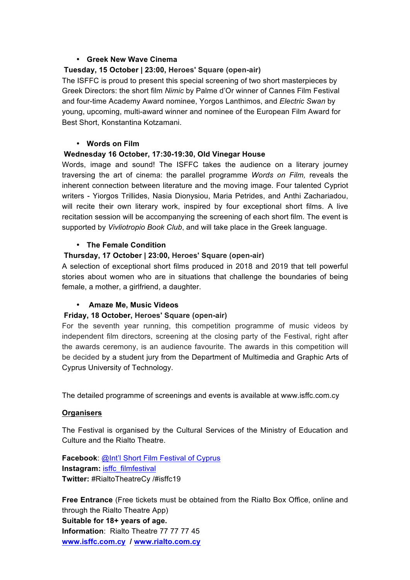### • **Greek New Wave Cinema**

### **Tuesday, 15 October | 23:00, Heroes' Square (open-air)**

The ISFFC is proud to present this special screening of two short masterpieces by Greek Directors: the short film *Nimic* by Palme d'Or winner of Cannes Film Festival and four-time Academy Award nominee, Yorgos Lanthimos, and *Electric Swan* by young, upcoming, multi-award winner and nominee of the European Film Award for Best Short, Konstantina Kotzamani.

#### • **Words on Film**

### **Wednesday 16 October, 17:30-19:30, Old Vinegar House**

Words, image and sound! The ISFFC takes the audience on a literary journey traversing the art of cinema: the parallel programme *Words on Film,* reveals the inherent connection between literature and the moving image. Four talented Cypriot writers - Yiorgos Trillides, Nasia Dionysiou, Maria Petrides, and Anthi Zachariadou, will recite their own literary work, inspired by four exceptional short films. A live recitation session will be accompanying the screening of each short film. The event is supported by *Vivliotropio Book Club*, and will take place in the Greek language.

### • **The Female Condition**

## **Thursday, 17 October | 23:00, Heroes' Square (open-air)**

A selection of exceptional short films produced in 2018 and 2019 that tell powerful stories about women who are in situations that challenge the boundaries of being female, a mother, a girlfriend, a daughter.

## • **Αmaze Me, Music Videos**

#### **Friday, 18 October, Heroes' Square (open-air)**

For the seventh year running, this competition programme of music videos by independent film directors, screening at the closing party of the Festival, right after the awards ceremony, is an audience favourite. The awards in this competition will be decided by a student jury from the Department of Multimedia and Graphic Arts of Cyprus University of Technology.

The detailed programme of screenings and events is available at www.isffc.com.cy

#### **Organisers**

The Festival is organised by the Cultural Services of the Ministry of Education and Culture and the Rialto Theatre.

**Facebook**: @Int'l Short Film Festival of Cyprus **Instagram: isffc\_filmfestival Twitter:** #RialtoTheatreCy /#isffc19

**Free Entrance** (Free tickets must be obtained from the Rialto Box Office, online and through the Rialto Theatre App) **Suitable for 18+ years of age. Information**: Rialto Theatre 77 77 77 45 **www.isffc.com.cy / www.rialto.com.cy**